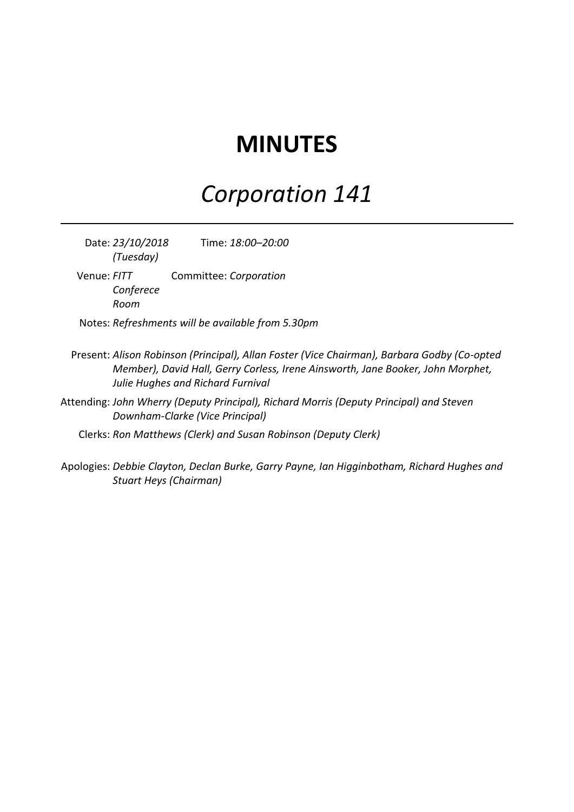## **MINUTES**

## *Corporation 141*

Date: *23/10/2018 (Tuesday)* Time: *18:00–20:00*

- Venue: *FITT Conferece Room* Committee: *Corporation*
- Notes: *Refreshments will be available from 5.30pm*
- Present: *Alison Robinson (Principal), Allan Foster (Vice Chairman), Barbara Godby (Co-opted Member), David Hall, Gerry Corless, Irene Ainsworth, Jane Booker, John Morphet, Julie Hughes and Richard Furnival*
- Attending: *John Wherry (Deputy Principal), Richard Morris (Deputy Principal) and Steven Downham-Clarke (Vice Principal)*
	- Clerks: *Ron Matthews (Clerk) and Susan Robinson (Deputy Clerk)*
- Apologies: *Debbie Clayton, Declan Burke, Garry Payne, Ian Higginbotham, Richard Hughes and Stuart Heys (Chairman)*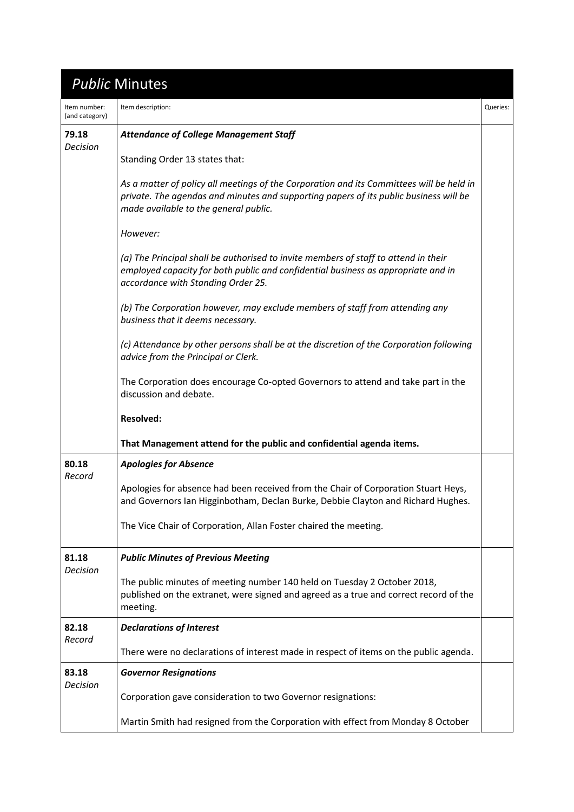|                                | <b>Public Minutes</b>                                                                                                                                                                                                      |          |
|--------------------------------|----------------------------------------------------------------------------------------------------------------------------------------------------------------------------------------------------------------------------|----------|
| Item number:<br>(and category) | Item description:                                                                                                                                                                                                          | Queries: |
| 79.18<br>Decision              | <b>Attendance of College Management Staff</b>                                                                                                                                                                              |          |
|                                | Standing Order 13 states that:                                                                                                                                                                                             |          |
|                                | As a matter of policy all meetings of the Corporation and its Committees will be held in<br>private. The agendas and minutes and supporting papers of its public business will be<br>made available to the general public. |          |
|                                | However:                                                                                                                                                                                                                   |          |
|                                | (a) The Principal shall be authorised to invite members of staff to attend in their<br>employed capacity for both public and confidential business as appropriate and in<br>accordance with Standing Order 25.             |          |
|                                | (b) The Corporation however, may exclude members of staff from attending any<br>business that it deems necessary.                                                                                                          |          |
|                                | (c) Attendance by other persons shall be at the discretion of the Corporation following<br>advice from the Principal or Clerk.                                                                                             |          |
|                                | The Corporation does encourage Co-opted Governors to attend and take part in the<br>discussion and debate.                                                                                                                 |          |
|                                | <b>Resolved:</b>                                                                                                                                                                                                           |          |
|                                | That Management attend for the public and confidential agenda items.                                                                                                                                                       |          |
| 80.18<br>Record                | <b>Apologies for Absence</b>                                                                                                                                                                                               |          |
|                                | Apologies for absence had been received from the Chair of Corporation Stuart Heys,<br>and Governors Ian Higginbotham, Declan Burke, Debbie Clayton and Richard Hughes.                                                     |          |
|                                | The Vice Chair of Corporation, Allan Foster chaired the meeting.                                                                                                                                                           |          |
| 81.18<br><b>Decision</b>       | <b>Public Minutes of Previous Meeting</b>                                                                                                                                                                                  |          |
|                                | The public minutes of meeting number 140 held on Tuesday 2 October 2018,<br>published on the extranet, were signed and agreed as a true and correct record of the<br>meeting.                                              |          |
| 82.18<br>Record                | <b>Declarations of Interest</b>                                                                                                                                                                                            |          |
|                                | There were no declarations of interest made in respect of items on the public agenda.                                                                                                                                      |          |
| 83.18<br>Decision              | <b>Governor Resignations</b>                                                                                                                                                                                               |          |
|                                | Corporation gave consideration to two Governor resignations:                                                                                                                                                               |          |
|                                | Martin Smith had resigned from the Corporation with effect from Monday 8 October                                                                                                                                           |          |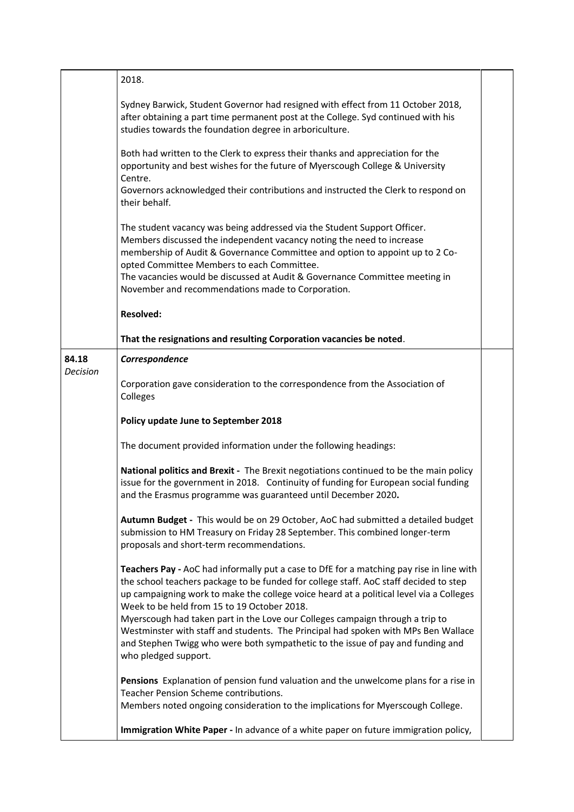|                          | 2018.                                                                                                                                                                                                                                                                                                                                                                                                                                                                                                                                                                                                         |  |
|--------------------------|---------------------------------------------------------------------------------------------------------------------------------------------------------------------------------------------------------------------------------------------------------------------------------------------------------------------------------------------------------------------------------------------------------------------------------------------------------------------------------------------------------------------------------------------------------------------------------------------------------------|--|
|                          | Sydney Barwick, Student Governor had resigned with effect from 11 October 2018,<br>after obtaining a part time permanent post at the College. Syd continued with his<br>studies towards the foundation degree in arboriculture.                                                                                                                                                                                                                                                                                                                                                                               |  |
|                          | Both had written to the Clerk to express their thanks and appreciation for the<br>opportunity and best wishes for the future of Myerscough College & University<br>Centre.                                                                                                                                                                                                                                                                                                                                                                                                                                    |  |
|                          | Governors acknowledged their contributions and instructed the Clerk to respond on<br>their behalf.                                                                                                                                                                                                                                                                                                                                                                                                                                                                                                            |  |
|                          | The student vacancy was being addressed via the Student Support Officer.<br>Members discussed the independent vacancy noting the need to increase<br>membership of Audit & Governance Committee and option to appoint up to 2 Co-<br>opted Committee Members to each Committee.<br>The vacancies would be discussed at Audit & Governance Committee meeting in<br>November and recommendations made to Corporation.                                                                                                                                                                                           |  |
|                          | <b>Resolved:</b>                                                                                                                                                                                                                                                                                                                                                                                                                                                                                                                                                                                              |  |
|                          | That the resignations and resulting Corporation vacancies be noted.                                                                                                                                                                                                                                                                                                                                                                                                                                                                                                                                           |  |
| 84.18<br><b>Decision</b> | Correspondence                                                                                                                                                                                                                                                                                                                                                                                                                                                                                                                                                                                                |  |
|                          | Corporation gave consideration to the correspondence from the Association of<br>Colleges                                                                                                                                                                                                                                                                                                                                                                                                                                                                                                                      |  |
|                          | Policy update June to September 2018                                                                                                                                                                                                                                                                                                                                                                                                                                                                                                                                                                          |  |
|                          | The document provided information under the following headings:                                                                                                                                                                                                                                                                                                                                                                                                                                                                                                                                               |  |
|                          | National politics and Brexit - The Brexit negotiations continued to be the main policy<br>issue for the government in 2018. Continuity of funding for European social funding<br>and the Erasmus programme was guaranteed until December 2020.                                                                                                                                                                                                                                                                                                                                                                |  |
|                          | Autumn Budget - This would be on 29 October, AoC had submitted a detailed budget<br>submission to HM Treasury on Friday 28 September. This combined longer-term<br>proposals and short-term recommendations.                                                                                                                                                                                                                                                                                                                                                                                                  |  |
|                          | Teachers Pay - AoC had informally put a case to DfE for a matching pay rise in line with<br>the school teachers package to be funded for college staff. AoC staff decided to step<br>up campaigning work to make the college voice heard at a political level via a Colleges<br>Week to be held from 15 to 19 October 2018.<br>Myerscough had taken part in the Love our Colleges campaign through a trip to<br>Westminster with staff and students. The Principal had spoken with MPs Ben Wallace<br>and Stephen Twigg who were both sympathetic to the issue of pay and funding and<br>who pledged support. |  |
|                          | Pensions Explanation of pension fund valuation and the unwelcome plans for a rise in<br>Teacher Pension Scheme contributions.<br>Members noted ongoing consideration to the implications for Myerscough College.                                                                                                                                                                                                                                                                                                                                                                                              |  |
|                          | Immigration White Paper - In advance of a white paper on future immigration policy,                                                                                                                                                                                                                                                                                                                                                                                                                                                                                                                           |  |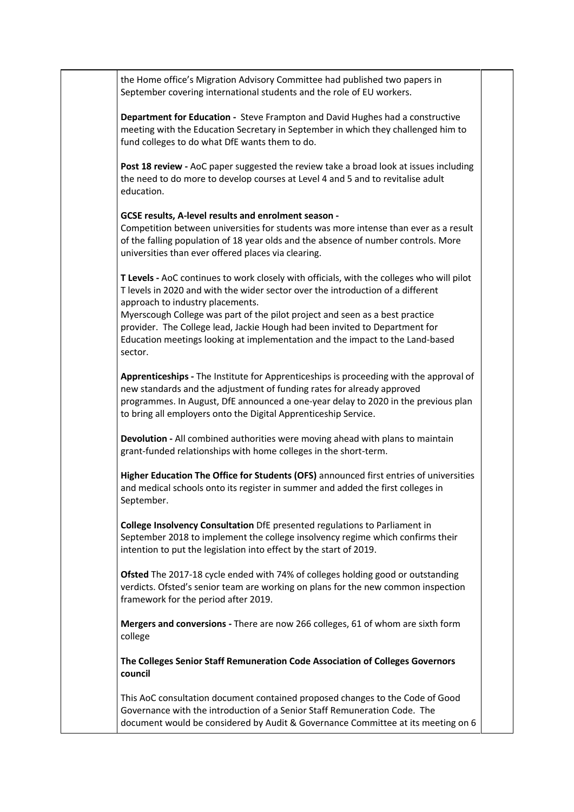the Home office's Migration Advisory Committee had published two papers in September covering international students and the role of EU workers.

**Department for Education -** Steve Frampton and David Hughes had a constructive meeting with the Education Secretary in September in which they challenged him to fund colleges to do what DfE wants them to do.

**Post 18 review -** AoC paper suggested the review take a broad look at issues including the need to do more to develop courses at Level 4 and 5 and to revitalise adult education.

## **GCSE results, A-level results and enrolment season -**

Competition between universities for students was more intense than ever as a result of the falling population of 18 year olds and the absence of number controls. More universities than ever offered places via clearing.

**T Levels -** AoC continues to work closely with officials, with the colleges who will pilot T levels in 2020 and with the wider sector over the introduction of a different approach to industry placements.

Myerscough College was part of the pilot project and seen as a best practice provider. The College lead, Jackie Hough had been invited to Department for Education meetings looking at implementation and the impact to the Land-based sector.

**Apprenticeships -** The Institute for Apprenticeships is proceeding with the approval of new standards and the adjustment of funding rates for already approved programmes. In August, DfE announced a one-year delay to 2020 in the previous plan to bring all employers onto the Digital Apprenticeship Service.

**Devolution -** All combined authorities were moving ahead with plans to maintain grant-funded relationships with home colleges in the short-term.

**Higher Education The Office for Students (OFS)** announced first entries of universities and medical schools onto its register in summer and added the first colleges in September.

**College Insolvency Consultation** DfE presented regulations to Parliament in September 2018 to implement the college insolvency regime which confirms their intention to put the legislation into effect by the start of 2019.

**Ofsted** The 2017-18 cycle ended with 74% of colleges holding good or outstanding verdicts. Ofsted's senior team are working on plans for the new common inspection framework for the period after 2019.

**Mergers and conversions -** There are now 266 colleges, 61 of whom are sixth form college

**The Colleges Senior Staff Remuneration Code Association of Colleges Governors council**

This AoC consultation document contained proposed changes to the Code of Good Governance with the introduction of a Senior Staff Remuneration Code. The document would be considered by Audit & Governance Committee at its meeting on 6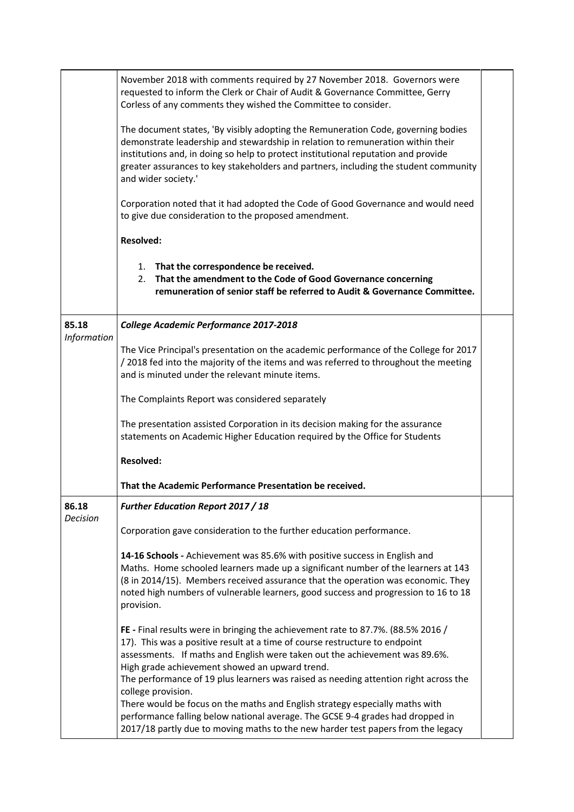|                    | November 2018 with comments required by 27 November 2018. Governors were<br>requested to inform the Clerk or Chair of Audit & Governance Committee, Gerry<br>Corless of any comments they wished the Committee to consider.                                                                                                                                                                                                                                                                                                                                                                                                                                          |  |
|--------------------|----------------------------------------------------------------------------------------------------------------------------------------------------------------------------------------------------------------------------------------------------------------------------------------------------------------------------------------------------------------------------------------------------------------------------------------------------------------------------------------------------------------------------------------------------------------------------------------------------------------------------------------------------------------------|--|
|                    | The document states, 'By visibly adopting the Remuneration Code, governing bodies<br>demonstrate leadership and stewardship in relation to remuneration within their<br>institutions and, in doing so help to protect institutional reputation and provide<br>greater assurances to key stakeholders and partners, including the student community<br>and wider society.'                                                                                                                                                                                                                                                                                            |  |
|                    | Corporation noted that it had adopted the Code of Good Governance and would need<br>to give due consideration to the proposed amendment.                                                                                                                                                                                                                                                                                                                                                                                                                                                                                                                             |  |
|                    | <b>Resolved:</b>                                                                                                                                                                                                                                                                                                                                                                                                                                                                                                                                                                                                                                                     |  |
|                    | 1. That the correspondence be received.<br>2. That the amendment to the Code of Good Governance concerning<br>remuneration of senior staff be referred to Audit & Governance Committee.                                                                                                                                                                                                                                                                                                                                                                                                                                                                              |  |
| 85.18              | College Academic Performance 2017-2018                                                                                                                                                                                                                                                                                                                                                                                                                                                                                                                                                                                                                               |  |
| <b>Information</b> | The Vice Principal's presentation on the academic performance of the College for 2017<br>/2018 fed into the majority of the items and was referred to throughout the meeting<br>and is minuted under the relevant minute items.                                                                                                                                                                                                                                                                                                                                                                                                                                      |  |
|                    | The Complaints Report was considered separately                                                                                                                                                                                                                                                                                                                                                                                                                                                                                                                                                                                                                      |  |
|                    | The presentation assisted Corporation in its decision making for the assurance<br>statements on Academic Higher Education required by the Office for Students                                                                                                                                                                                                                                                                                                                                                                                                                                                                                                        |  |
|                    | <b>Resolved:</b>                                                                                                                                                                                                                                                                                                                                                                                                                                                                                                                                                                                                                                                     |  |
|                    | That the Academic Performance Presentation be received.                                                                                                                                                                                                                                                                                                                                                                                                                                                                                                                                                                                                              |  |
| 86.18<br>Decision  | <b>Further Education Report 2017 / 18</b>                                                                                                                                                                                                                                                                                                                                                                                                                                                                                                                                                                                                                            |  |
|                    | Corporation gave consideration to the further education performance.                                                                                                                                                                                                                                                                                                                                                                                                                                                                                                                                                                                                 |  |
|                    | 14-16 Schools - Achievement was 85.6% with positive success in English and<br>Maths. Home schooled learners made up a significant number of the learners at 143<br>(8 in 2014/15). Members received assurance that the operation was economic. They<br>noted high numbers of vulnerable learners, good success and progression to 16 to 18<br>provision.                                                                                                                                                                                                                                                                                                             |  |
|                    | FE - Final results were in bringing the achievement rate to 87.7%. (88.5% 2016 /<br>17). This was a positive result at a time of course restructure to endpoint<br>assessments. If maths and English were taken out the achievement was 89.6%.<br>High grade achievement showed an upward trend.<br>The performance of 19 plus learners was raised as needing attention right across the<br>college provision.<br>There would be focus on the maths and English strategy especially maths with<br>performance falling below national average. The GCSE 9-4 grades had dropped in<br>2017/18 partly due to moving maths to the new harder test papers from the legacy |  |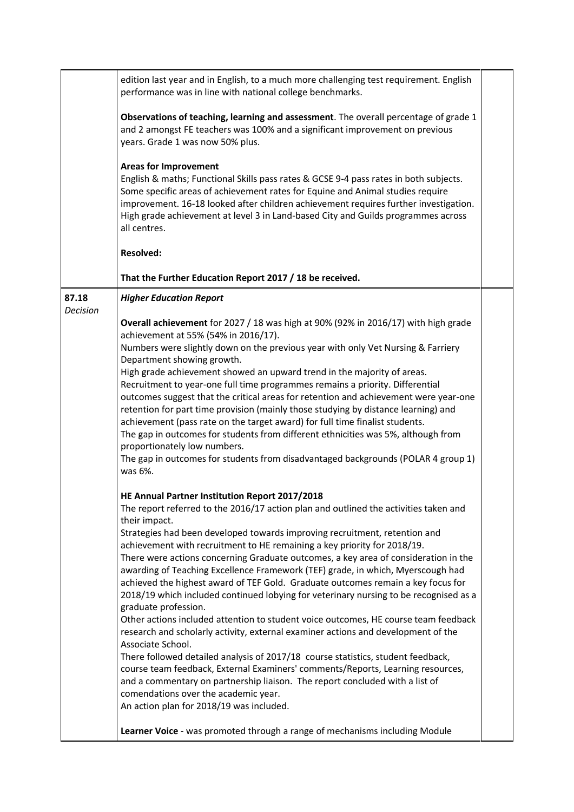|                          | edition last year and in English, to a much more challenging test requirement. English<br>performance was in line with national college benchmarks.                                                                                                                                                                                                                                                                                                                                                                                                                                                                                                                                                                                                                                                                                                                                                                                                                                                                                                                                                                                                                                                                                          |  |
|--------------------------|----------------------------------------------------------------------------------------------------------------------------------------------------------------------------------------------------------------------------------------------------------------------------------------------------------------------------------------------------------------------------------------------------------------------------------------------------------------------------------------------------------------------------------------------------------------------------------------------------------------------------------------------------------------------------------------------------------------------------------------------------------------------------------------------------------------------------------------------------------------------------------------------------------------------------------------------------------------------------------------------------------------------------------------------------------------------------------------------------------------------------------------------------------------------------------------------------------------------------------------------|--|
|                          | Observations of teaching, learning and assessment. The overall percentage of grade 1<br>and 2 amongst FE teachers was 100% and a significant improvement on previous<br>years. Grade 1 was now 50% plus.                                                                                                                                                                                                                                                                                                                                                                                                                                                                                                                                                                                                                                                                                                                                                                                                                                                                                                                                                                                                                                     |  |
|                          | <b>Areas for Improvement</b><br>English & maths; Functional Skills pass rates & GCSE 9-4 pass rates in both subjects.<br>Some specific areas of achievement rates for Equine and Animal studies require<br>improvement. 16-18 looked after children achievement requires further investigation.<br>High grade achievement at level 3 in Land-based City and Guilds programmes across<br>all centres.                                                                                                                                                                                                                                                                                                                                                                                                                                                                                                                                                                                                                                                                                                                                                                                                                                         |  |
|                          | <b>Resolved:</b>                                                                                                                                                                                                                                                                                                                                                                                                                                                                                                                                                                                                                                                                                                                                                                                                                                                                                                                                                                                                                                                                                                                                                                                                                             |  |
|                          | That the Further Education Report 2017 / 18 be received.                                                                                                                                                                                                                                                                                                                                                                                                                                                                                                                                                                                                                                                                                                                                                                                                                                                                                                                                                                                                                                                                                                                                                                                     |  |
| 87.18<br><b>Decision</b> | <b>Higher Education Report</b>                                                                                                                                                                                                                                                                                                                                                                                                                                                                                                                                                                                                                                                                                                                                                                                                                                                                                                                                                                                                                                                                                                                                                                                                               |  |
|                          | Overall achievement for 2027 / 18 was high at 90% (92% in 2016/17) with high grade<br>achievement at 55% (54% in 2016/17).<br>Numbers were slightly down on the previous year with only Vet Nursing & Farriery<br>Department showing growth.<br>High grade achievement showed an upward trend in the majority of areas.<br>Recruitment to year-one full time programmes remains a priority. Differential<br>outcomes suggest that the critical areas for retention and achievement were year-one<br>retention for part time provision (mainly those studying by distance learning) and<br>achievement (pass rate on the target award) for full time finalist students.<br>The gap in outcomes for students from different ethnicities was 5%, although from<br>proportionately low numbers.<br>The gap in outcomes for students from disadvantaged backgrounds (POLAR 4 group 1)<br>was 6%.                                                                                                                                                                                                                                                                                                                                                  |  |
|                          | HE Annual Partner Institution Report 2017/2018<br>The report referred to the 2016/17 action plan and outlined the activities taken and<br>their impact.<br>Strategies had been developed towards improving recruitment, retention and<br>achievement with recruitment to HE remaining a key priority for 2018/19.<br>There were actions concerning Graduate outcomes, a key area of consideration in the<br>awarding of Teaching Excellence Framework (TEF) grade, in which, Myerscough had<br>achieved the highest award of TEF Gold. Graduate outcomes remain a key focus for<br>2018/19 which included continued lobying for veterinary nursing to be recognised as a<br>graduate profession.<br>Other actions included attention to student voice outcomes, HE course team feedback<br>research and scholarly activity, external examiner actions and development of the<br>Associate School.<br>There followed detailed analysis of 2017/18 course statistics, student feedback,<br>course team feedback, External Examiners' comments/Reports, Learning resources,<br>and a commentary on partnership liaison. The report concluded with a list of<br>comendations over the academic year.<br>An action plan for 2018/19 was included. |  |
|                          | Learner Voice - was promoted through a range of mechanisms including Module                                                                                                                                                                                                                                                                                                                                                                                                                                                                                                                                                                                                                                                                                                                                                                                                                                                                                                                                                                                                                                                                                                                                                                  |  |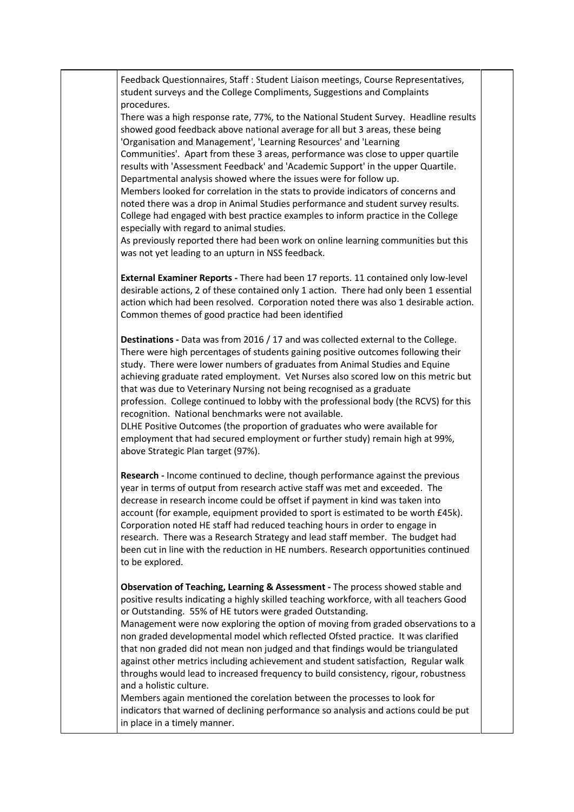Feedback Questionnaires, Staff : Student Liaison meetings, Course Representatives, student surveys and the College Compliments, Suggestions and Complaints procedures. There was a high response rate, 77%, to the National Student Survey. Headline results showed good feedback above national average for all but 3 areas, these being 'Organisation and Management', 'Learning Resources' and 'Learning Communities'. Apart from these 3 areas, performance was close to upper quartile results with 'Assessment Feedback' and 'Academic Support' in the upper Quartile. Departmental analysis showed where the issues were for follow up. Members looked for correlation in the stats to provide indicators of concerns and noted there was a drop in Animal Studies performance and student survey results. College had engaged with best practice examples to inform practice in the College especially with regard to animal studies. As previously reported there had been work on online learning communities but this was not yet leading to an upturn in NSS feedback. **External Examiner Reports -** There had been 17 reports. 11 contained only low-level desirable actions, 2 of these contained only 1 action. There had only been 1 essential action which had been resolved. Corporation noted there was also 1 desirable action. Common themes of good practice had been identified **Destinations -** Data was from 2016 / 17 and was collected external to the College. There were high percentages of students gaining positive outcomes following their study. There were lower numbers of graduates from Animal Studies and Equine achieving graduate rated employment. Vet Nurses also scored low on this metric but that was due to Veterinary Nursing not being recognised as a graduate profession. College continued to lobby with the professional body (the RCVS) for this recognition. National benchmarks were not available. DLHE Positive Outcomes (the proportion of graduates who were available for employment that had secured employment or further study) remain high at 99%, above Strategic Plan target (97%). **Research -** Income continued to decline, though performance against the previous year in terms of output from research active staff was met and exceeded. The decrease in research income could be offset if payment in kind was taken into account (for example, equipment provided to sport is estimated to be worth £45k). Corporation noted HE staff had reduced teaching hours in order to engage in research. There was a Research Strategy and lead staff member. The budget had been cut in line with the reduction in HE numbers. Research opportunities continued to be explored. **Observation of Teaching, Learning & Assessment -** The process showed stable and positive results indicating a highly skilled teaching workforce, with all teachers Good or Outstanding. 55% of HE tutors were graded Outstanding. Management were now exploring the option of moving from graded observations to a non graded developmental model which reflected Ofsted practice. It was clarified that non graded did not mean non judged and that findings would be triangulated against other metrics including achievement and student satisfaction, Regular walk throughs would lead to increased frequency to build consistency, rigour, robustness and a holistic culture. Members again mentioned the corelation between the processes to look for indicators that warned of declining performance so analysis and actions could be put in place in a timely manner.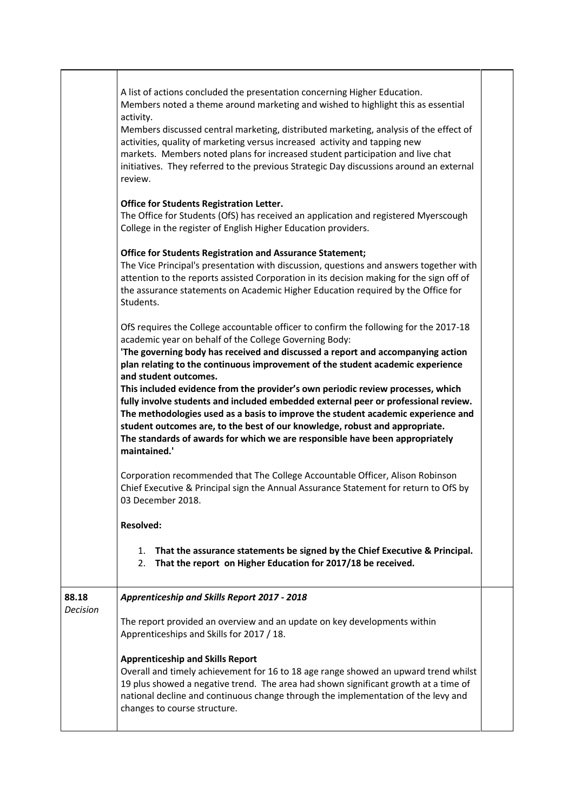| activity.<br>Members discussed central marketing, distributed marketing, analysis of the effect of<br>activities, quality of marketing versus increased activity and tapping new<br>markets. Members noted plans for increased student participation and live chat<br>initiatives. They referred to the previous Strategic Day discussions around an external<br>review.<br><b>Office for Students Registration Letter.</b><br>The Office for Students (OfS) has received an application and registered Myerscough<br>College in the register of English Higher Education providers.<br><b>Office for Students Registration and Assurance Statement;</b><br>The Vice Principal's presentation with discussion, questions and answers together with<br>attention to the reports assisted Corporation in its decision making for the sign off of<br>the assurance statements on Academic Higher Education required by the Office for<br>Students.<br>OfS requires the College accountable officer to confirm the following for the 2017-18<br>academic year on behalf of the College Governing Body:<br>'The governing body has received and discussed a report and accompanying action<br>plan relating to the continuous improvement of the student academic experience<br>and student outcomes.<br>This included evidence from the provider's own periodic review processes, which<br>fully involve students and included embedded external peer or professional review.<br>The methodologies used as a basis to improve the student academic experience and<br>student outcomes are, to the best of our knowledge, robust and appropriate.<br>The standards of awards for which we are responsible have been appropriately<br>maintained.'<br>Corporation recommended that The College Accountable Officer, Alison Robinson<br>Chief Executive & Principal sign the Annual Assurance Statement for return to OfS by<br>03 December 2018.<br><b>Resolved:</b><br>That the assurance statements be signed by the Chief Executive & Principal.<br>1.<br>That the report on Higher Education for 2017/18 be received.<br>2. |
|---------------------------------------------------------------------------------------------------------------------------------------------------------------------------------------------------------------------------------------------------------------------------------------------------------------------------------------------------------------------------------------------------------------------------------------------------------------------------------------------------------------------------------------------------------------------------------------------------------------------------------------------------------------------------------------------------------------------------------------------------------------------------------------------------------------------------------------------------------------------------------------------------------------------------------------------------------------------------------------------------------------------------------------------------------------------------------------------------------------------------------------------------------------------------------------------------------------------------------------------------------------------------------------------------------------------------------------------------------------------------------------------------------------------------------------------------------------------------------------------------------------------------------------------------------------------------------------------------------------------------------------------------------------------------------------------------------------------------------------------------------------------------------------------------------------------------------------------------------------------------------------------------------------------------------------------------------------------------------------------------------------------------------------------------------------------------------------------------------------------------|
| Apprenticeship and Skills Report 2017 - 2018<br>88.18<br><b>Decision</b><br>The report provided an overview and an update on key developments within<br>Apprenticeships and Skills for 2017 / 18.<br><b>Apprenticeship and Skills Report</b><br>Overall and timely achievement for 16 to 18 age range showed an upward trend whilst<br>19 plus showed a negative trend. The area had shown significant growth at a time of<br>national decline and continuous change through the implementation of the levy and<br>changes to course structure.                                                                                                                                                                                                                                                                                                                                                                                                                                                                                                                                                                                                                                                                                                                                                                                                                                                                                                                                                                                                                                                                                                                                                                                                                                                                                                                                                                                                                                                                                                                                                                           |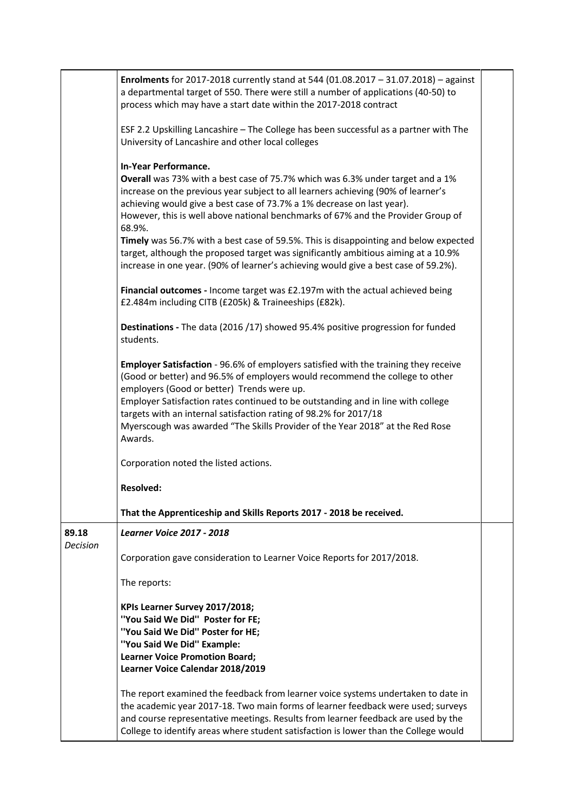|                          | Enrolments for 2017-2018 currently stand at 544 (01.08.2017 - 31.07.2018) - against<br>a departmental target of 550. There were still a number of applications (40-50) to<br>process which may have a start date within the 2017-2018 contract                                                                                                                                                                                                                                                                                                                                                                                                  |  |
|--------------------------|-------------------------------------------------------------------------------------------------------------------------------------------------------------------------------------------------------------------------------------------------------------------------------------------------------------------------------------------------------------------------------------------------------------------------------------------------------------------------------------------------------------------------------------------------------------------------------------------------------------------------------------------------|--|
|                          | ESF 2.2 Upskilling Lancashire - The College has been successful as a partner with The<br>University of Lancashire and other local colleges                                                                                                                                                                                                                                                                                                                                                                                                                                                                                                      |  |
|                          | <b>In-Year Performance.</b><br>Overall was 73% with a best case of 75.7% which was 6.3% under target and a 1%<br>increase on the previous year subject to all learners achieving (90% of learner's<br>achieving would give a best case of 73.7% a 1% decrease on last year).<br>However, this is well above national benchmarks of 67% and the Provider Group of<br>68.9%.<br>Timely was 56.7% with a best case of 59.5%. This is disappointing and below expected<br>target, although the proposed target was significantly ambitious aiming at a 10.9%<br>increase in one year. (90% of learner's achieving would give a best case of 59.2%). |  |
|                          | Financial outcomes - Income target was £2.197m with the actual achieved being<br>£2.484m including CITB (£205k) & Traineeships (£82k).                                                                                                                                                                                                                                                                                                                                                                                                                                                                                                          |  |
|                          | Destinations - The data (2016 /17) showed 95.4% positive progression for funded<br>students.                                                                                                                                                                                                                                                                                                                                                                                                                                                                                                                                                    |  |
|                          | <b>Employer Satisfaction - 96.6% of employers satisfied with the training they receive</b><br>(Good or better) and 96.5% of employers would recommend the college to other<br>employers (Good or better) Trends were up.<br>Employer Satisfaction rates continued to be outstanding and in line with college<br>targets with an internal satisfaction rating of 98.2% for 2017/18<br>Myerscough was awarded "The Skills Provider of the Year 2018" at the Red Rose<br>Awards.                                                                                                                                                                   |  |
|                          | Corporation noted the listed actions.                                                                                                                                                                                                                                                                                                                                                                                                                                                                                                                                                                                                           |  |
|                          | <b>Resolved:</b>                                                                                                                                                                                                                                                                                                                                                                                                                                                                                                                                                                                                                                |  |
|                          | That the Apprenticeship and Skills Reports 2017 - 2018 be received.                                                                                                                                                                                                                                                                                                                                                                                                                                                                                                                                                                             |  |
| 89.18<br><b>Decision</b> | <b>Learner Voice 2017 - 2018</b><br>Corporation gave consideration to Learner Voice Reports for 2017/2018.                                                                                                                                                                                                                                                                                                                                                                                                                                                                                                                                      |  |
|                          | The reports:                                                                                                                                                                                                                                                                                                                                                                                                                                                                                                                                                                                                                                    |  |
|                          | KPIs Learner Survey 2017/2018;<br>"You Said We Did" Poster for FE;<br>"You Said We Did" Poster for HE;<br>"You Said We Did" Example:<br><b>Learner Voice Promotion Board;</b><br>Learner Voice Calendar 2018/2019                                                                                                                                                                                                                                                                                                                                                                                                                               |  |
|                          | The report examined the feedback from learner voice systems undertaken to date in<br>the academic year 2017-18. Two main forms of learner feedback were used; surveys<br>and course representative meetings. Results from learner feedback are used by the<br>College to identify areas where student satisfaction is lower than the College would                                                                                                                                                                                                                                                                                              |  |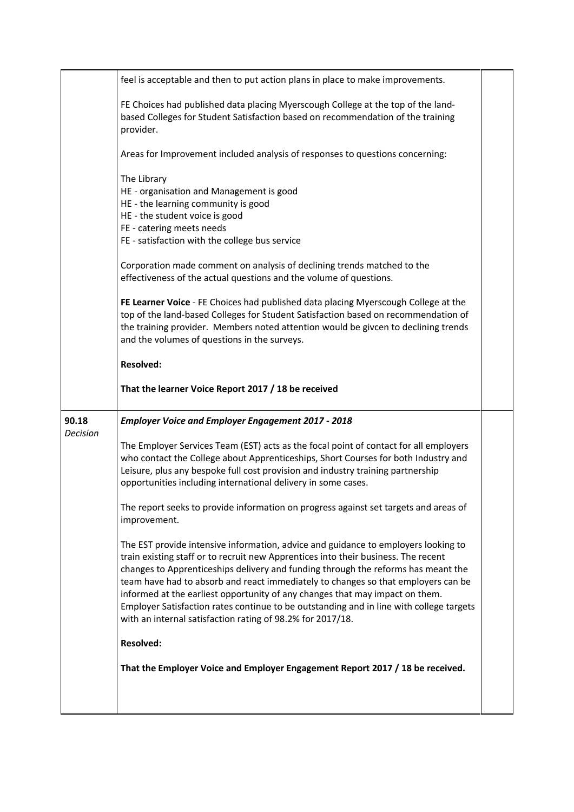|                          | feel is acceptable and then to put action plans in place to make improvements.                                                                                                                                                                                                                                                                                                                                                                                                                                                                                                                                                     |  |
|--------------------------|------------------------------------------------------------------------------------------------------------------------------------------------------------------------------------------------------------------------------------------------------------------------------------------------------------------------------------------------------------------------------------------------------------------------------------------------------------------------------------------------------------------------------------------------------------------------------------------------------------------------------------|--|
|                          | FE Choices had published data placing Myerscough College at the top of the land-<br>based Colleges for Student Satisfaction based on recommendation of the training<br>provider.                                                                                                                                                                                                                                                                                                                                                                                                                                                   |  |
|                          | Areas for Improvement included analysis of responses to questions concerning:                                                                                                                                                                                                                                                                                                                                                                                                                                                                                                                                                      |  |
|                          | The Library<br>HE - organisation and Management is good<br>HE - the learning community is good<br>HE - the student voice is good<br>FE - catering meets needs<br>FE - satisfaction with the college bus service<br>Corporation made comment on analysis of declining trends matched to the<br>effectiveness of the actual questions and the volume of questions.<br>FE Learner Voice - FE Choices had published data placing Myerscough College at the<br>top of the land-based Colleges for Student Satisfaction based on recommendation of<br>the training provider. Members noted attention would be givcen to declining trends |  |
|                          | and the volumes of questions in the surveys.                                                                                                                                                                                                                                                                                                                                                                                                                                                                                                                                                                                       |  |
|                          | <b>Resolved:</b>                                                                                                                                                                                                                                                                                                                                                                                                                                                                                                                                                                                                                   |  |
|                          | That the learner Voice Report 2017 / 18 be received                                                                                                                                                                                                                                                                                                                                                                                                                                                                                                                                                                                |  |
| 90.18<br><b>Decision</b> | <b>Employer Voice and Employer Engagement 2017 - 2018</b>                                                                                                                                                                                                                                                                                                                                                                                                                                                                                                                                                                          |  |
|                          | The Employer Services Team (EST) acts as the focal point of contact for all employers<br>who contact the College about Apprenticeships, Short Courses for both Industry and<br>Leisure, plus any bespoke full cost provision and industry training partnership<br>opportunities including international delivery in some cases.                                                                                                                                                                                                                                                                                                    |  |
|                          | The report seeks to provide information on progress against set targets and areas of<br>improvement.                                                                                                                                                                                                                                                                                                                                                                                                                                                                                                                               |  |
|                          | The EST provide intensive information, advice and guidance to employers looking to<br>train existing staff or to recruit new Apprentices into their business. The recent<br>changes to Apprenticeships delivery and funding through the reforms has meant the<br>team have had to absorb and react immediately to changes so that employers can be<br>informed at the earliest opportunity of any changes that may impact on them.<br>Employer Satisfaction rates continue to be outstanding and in line with college targets<br>with an internal satisfaction rating of 98.2% for 2017/18.                                        |  |
|                          | <b>Resolved:</b>                                                                                                                                                                                                                                                                                                                                                                                                                                                                                                                                                                                                                   |  |
|                          | That the Employer Voice and Employer Engagement Report 2017 / 18 be received.                                                                                                                                                                                                                                                                                                                                                                                                                                                                                                                                                      |  |
|                          |                                                                                                                                                                                                                                                                                                                                                                                                                                                                                                                                                                                                                                    |  |